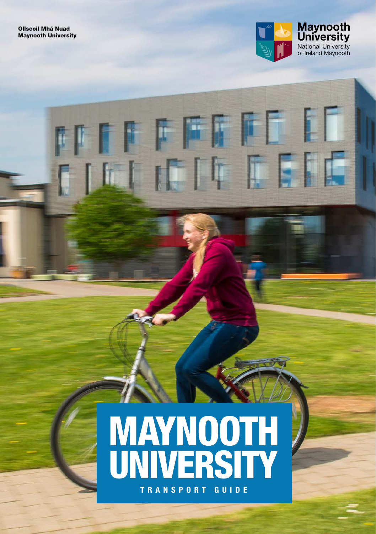

# **MAYNOOTH<br>UNIVERSITY TRANSPORT GUIDE**

**MITTEFFEE EE** 

FILI ITTTEIE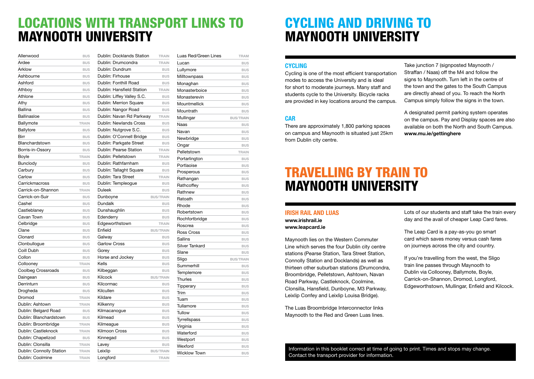### LOCATIONS WITH TRANSPORT LINKS TO MAYNOOTH UNIVERSITY

| Allenwood                | <b>BUS</b>   |
|--------------------------|--------------|
| Ardee                    | <b>BUS</b>   |
| Arklow                   | <b>BUS</b>   |
| Ashbourne                | <b>BUS</b>   |
| Ashford                  | <b>BUS</b>   |
| Athboy                   | <b>BUS</b>   |
| Athlone                  | <b>BUS</b>   |
| Athy                     | <b>BUS</b>   |
| Ballina                  | <b>BUS</b>   |
| <b>Ballinasloe</b>       | <b>BUS</b>   |
| Ballymote                | <b>TRAIN</b> |
| Ballytore                | <b>BUS</b>   |
| Birr                     | <b>BUS</b>   |
| Blanchardstown           | <b>BUS</b>   |
| Borris-in-Ossory         | <b>BUS</b>   |
| Boyle                    | <b>TRAIN</b> |
| Bunclody                 | <b>BUS</b>   |
| Carbury                  | <b>BUS</b>   |
| Carlow                   | <b>BUS</b>   |
| Carrickmacross           | <b>BUS</b>   |
| Carrick-on-Shannon       | <b>TRAIN</b> |
| Carrick-on-Suir          | <b>BUS</b>   |
| Cashel                   | <b>BUS</b>   |
| Castleblaney             | <b>BUS</b>   |
| Cavan Town               | <b>BUS</b>   |
| Celbridge                | <b>BUS</b>   |
| Clane                    | <b>BUS</b>   |
| Clonard                  | <b>BUS</b>   |
| Clonbullogue             | <b>BUS</b>   |
| Coill Dubh               | <b>BUS</b>   |
| Collon                   | <b>BUS</b>   |
| Collooney                | <b>TRAIN</b> |
| Coolbeg Crossroads       | <b>BUS</b>   |
| Daingean                 | <b>BUS</b>   |
| Derrinturn               | <b>BUS</b>   |
| Drogheda                 | <b>BUS</b>   |
| Dromod                   | <b>TRAIN</b> |
| Dublin: Ashtown          | <b>TRAIN</b> |
| Dublin: Belgard Road     | <b>BUS</b>   |
| Dublin: Blanchardstown   | <b>BUS</b>   |
| Dublin: Broombridge      | <b>TRAIN</b> |
| Dublin: Castleknock      | <b>TRAIN</b> |
| Dublin: Chapelizod       | <b>BUS</b>   |
| Dublin: Clonsilla        | <b>TRAIN</b> |
| Dublin: Connolly Station | <b>TRAIN</b> |
| Dublin: Coolmine         | TRAIN        |

| Dublin: Docklands Station  | <b>TRAIN</b>     |
|----------------------------|------------------|
| Dublin: Drumcondra         | <b>TRAIN</b>     |
| Dublin: Dundrum            | <b>BUS</b>       |
| Dublin: Firhouse           | <b>BUS</b>       |
| Dublin: Fonthill Road      | <b>BUS</b>       |
| Dublin: Hansfield Station  | <b>TRAIN</b>     |
| Dublin: Liffey Valley S.C. | <b>BUS</b>       |
| Dublin: Merrion Square     | <b>BUS</b>       |
| Dublin: Nangor Road        | <b>BUS</b>       |
| Dublin: Navan Rd Parkway   | <b>TRAIN</b>     |
| Dublin: Newlands Cross     | <b>BUS</b>       |
| Dublin: Nutgrove S.C.      | <b>BUS</b>       |
| Dublin: O'Connell Bridge   | <b>BUS</b>       |
| Dublin: Parkgate Street    | <b>BUS</b>       |
| Dublin: Pearse Station     | <b>TRAIN</b>     |
| Dublin: Pelletstown        | <b>TRAIN</b>     |
| Dublin: Rathfarnham        | <b>BUS</b>       |
| Dublin: Tallaght Square    | <b>BUS</b>       |
| Dublin: Tara Street        | <b>TRAIN</b>     |
| Dublin: Templeogue         | <b>BUS</b>       |
| <b>Duleek</b>              | <b>BUS</b>       |
| Dunboyne                   | <b>BUS/TRAIN</b> |
| Dundalk                    | <b>BUS</b>       |
| Dunshaughlin               | <b>BUS</b>       |
| Edenderry                  | <b>BUS</b>       |
| Edgeworthstown             | <b>TRAIN</b>     |
| Enfield                    | <b>BUS/TRAIN</b> |
| Galway                     | <b>BUS</b>       |
| <b>Garlow Cross</b>        | <b>BUS</b>       |
| Gorey                      | <b>BUS</b>       |
| Horse and Jockey           | <b>BUS</b>       |
| Kells                      | <b>BUS</b>       |
| Kilbeggan                  | <b>BUS</b>       |
| Kilcock                    | <b>BUS/TRAIN</b> |
| Kilcormac                  | <b>BUS</b>       |
| Kilcullen                  | <b>BUS</b>       |
| Kildare                    | <b>BUS</b>       |
| Kilkenny                   | <b>BUS</b>       |
| Kilmacanogue               | <b>BUS</b>       |
| Kilmead                    | <b>BUS</b>       |
| Kilmeague                  | <b>BUS</b>       |
| Kilmoon Cross              | <b>BUS</b>       |
| Kinnegad                   | <b>BUS</b>       |
| Lavey                      | <b>BUS</b>       |
| Leixlip                    | <b>BUS/TRAIN</b> |
| Longford                   | <b>TRAIN</b>     |

| Luas Red/Green Lines | TRAM             |
|----------------------|------------------|
| Lucan                | <b>BUS</b>       |
| Lullymore            | <b>BUS</b>       |
| Milltownpass         | <b>BUS</b>       |
| Monaghan             | <b>BUS</b>       |
| Monasterboice        | <b>BUS</b>       |
| Monasterevin         | <b>BUS</b>       |
| Mountmellick         | <b>BUS</b>       |
| Mountrath            | <b>BUS</b>       |
| Mullingar            | <b>BUS/TRAIN</b> |
| Naas                 | <b>BUS</b>       |
| Navan                | <b>BUS</b>       |
| Newbridge            | <b>BUS</b>       |
| Ongar                | <b>BUS</b>       |
| Pelletstown          | <b>TRAIN</b>     |
| Portarlington        | <b>BUS</b>       |
| Portlaoise           | <b>BUS</b>       |
| Prosperous           | <b>BUS</b>       |
| Rathangan            | <b>BUS</b>       |
| Rathcoffey           | <b>BUS</b>       |
| Rathnew              | <b>BUS</b>       |
| Ratoath              | <b>BUS</b>       |
| Rhode                | <b>BUS</b>       |
| Robertstown          | <b>BUS</b>       |
| Rochfortbridge       | <b>BUS</b>       |
| Roscrea              | <b>BUS</b>       |
| <b>Ross Cross</b>    | <b>BUS</b>       |
| Sallins              | <b>BUS</b>       |
| Silver Tankard       | <b>BUS</b>       |
| Slane                | <b>BUS</b>       |
| Sligo                | <b>BUS/TRAIN</b> |
| Summerhill           | <b>BUS</b>       |
| Templemore           | <b>BUS</b>       |
| Thurles              | <b>BUS</b>       |
| Tipperary            | <b>BUS</b>       |
| Trim                 | <b>BUS</b>       |
| Tuam                 | <b>BUS</b>       |
| Tullamore            | <b>BUS</b>       |
| Tullow               | <b>BUS</b>       |
| Tyrrellspass         | <b>BUS</b>       |
| Virginia             | <b>BUS</b>       |
| Waterford            | <b>BUS</b>       |
| Westport             | <b>BUS</b>       |
| Wexford              | <b>BUS</b>       |
| <b>Wicklow Town</b>  | <b>BUS</b>       |

## CYCLING AND DRIVING TO MAYNOOTH UNIVERSITY

#### **CYCLING**

Cycling is one of the most efficient transportation modes to access the University and is ideal for short to moderate journeys. Many staff and students cycle to the University. Bicycle racks are provided in key locations around the campus.

#### **CAR**

There are approximately 1,800 parking spaces on campus and Maynooth is situated just 25km from Dublin city centre.

Take junction 7 (signposted Maynooth / Straffan / Naas) off the M4 and follow the signs to Maynooth. Turn left in the centre of the town and the gates to the South Campus are directly ahead of you. To reach the North Campus simply follow the signs in the town.

A designated permit parking system operates on the campus. Pay and Display spaces are also available on both the North and South Campus. www.mu.ie/gettinghere

### TRAVELLING BY TRAIN TO MAYNOOTH UNIVERSITY

#### IRISH RAIL AND LUAS www.irishrail.ie

www.leapcard.ie

Maynooth lies on the Western Commuter Line which serves the four Dublin city centre stations (Pearse Station, Tara Street Station, Connolly Station and Docklands) as well as thirteen other suburban stations (Drumcondra, Broombridge, Pelletstown, Ashtown, Navan Road Parkway, Castleknock, Coolmine, Clonsilla, Hansfield, Dunboyne, M3 Parkway, Leixlip Confey and Leixlip Louisa Bridge).

The Luas Broombridge Interconnector links Maynooth to the Red and Green Luas lines. Lots of our students and staff take the train every day and the avail of cheaper Leap Card fares.

The Leap Card is a pay-as-you go smart card which saves money versus cash fares on journeys across the city and country.

If you're travelling from the west, the Sligo train line passes through Maynooth to Dublin via Collooney, Ballymote, Boyle, Carrick-on-Shannon, Dromod, Longford, Edgeworthstown, Mullingar, Enfield and Kilcock.

Information in this booklet correct at time of going to print. Times and stops may change. Contact the transport provider for information.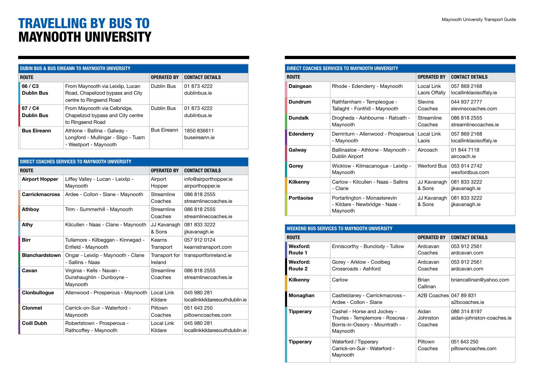## TRAVELLING BY BUS TO MAYNOOTH UNIVERSITY

| <b>DUBIN BUS &amp; BUS EIREANN TO MAYNOOTH UNIVERSITY</b> |                                                                                                 |                    |                              |
|-----------------------------------------------------------|-------------------------------------------------------------------------------------------------|--------------------|------------------------------|
| <b>ROUTE</b>                                              |                                                                                                 | <b>OPERATED BY</b> | <b>CONTACT DETAILS</b>       |
| 66 / C3<br><b>Dublin Bus</b>                              | From Maynooth via Leixlip, Lucan<br>Road, Chapelizod bypass and City<br>centre to Ringsend Road | Dublin Bus         | 01 873 4222<br>dublinbus.ie  |
| 67 / C4<br><b>Dublin Bus</b>                              | From Maynooth via Celbridge,<br>Chapelizod bypass and City centre<br>to Ringsend Road           | Dublin Bus         | 01 873 4222<br>dublinbus.ie  |
| <b>Bus Eireann</b>                                        | Athlone - Ballina - Galway -<br>Longford - Mullingar - Sligo - Tuam<br>- Westport - Maynooth    | <b>Bus Eireann</b> | 1850 836611<br>buseireann.ie |

| <b>DIRECT COACHES SERVICES TO MAYNOOTH UNIVERSITY</b> |                                                                     |                          |                                               |
|-------------------------------------------------------|---------------------------------------------------------------------|--------------------------|-----------------------------------------------|
| <b>ROUTE</b>                                          |                                                                     | <b>OPERATED BY</b>       | <b>CONTACT DETAILS</b>                        |
| <b>Airport Hopper</b>                                 | Liffey Valley - Lucan - Leixlip -<br>Maynooth                       | Airport<br>Hopper        | info@airporthopper.ie<br>airporthopper.ie     |
| <b>Carrickmacross</b>                                 | Ardee - Collon - Slane - Maynooth                                   | Streamline<br>Coaches    | 086 818 2555<br>streamlinecoaches.ie          |
| <b>Athboy</b>                                         | Trim - Summerhill - Maynooth                                        | Streamline<br>Coaches    | 086 818 2555<br>streamlinecoaches.ie          |
| Athy                                                  | Kilcullen - Naas - Clane - Maynooth                                 | JJ Kavanagh<br>& Sons    | 081 833 3222<br>jjkavanagh.ie                 |
| <b>Birr</b>                                           | Tullamore - Kilbeggan - Kinnegad -<br>Enfield - Maynooth            | Kearns<br>Transport      | 057 912 0124<br>kearnstransport.com           |
| <b>Blanchardstown</b>                                 | Ongar - Leixlip - Maynooth - Clane<br>- Sallins - Naas              | Transport for<br>Ireland | transportforireland.ie                        |
| Cavan                                                 | Virginia - Kells - Navan -<br>Dunshaughlin - Dunboyne -<br>Maynooth | Streamline<br>Coaches    | 086 818 2555<br>streamlinecoaches.ie          |
| Clonbullogue                                          | Allenwood - Prosperous - Maynooth                                   | Local Link<br>Kildare    | 045 980 281<br>locallinkkildaresouthdublin.ie |
| <b>Clonmel</b>                                        | Carrick-on-Suir - Waterford -<br>Maynooth                           | Piltown<br>Coaches       | 051 643 250<br>piltowncoaches.com             |
| <b>Coill Dubh</b>                                     | Robertstown - Prosperous -<br>Rathcoffey - Maynooth                 | Local Link<br>Kildare    | 045 980 281<br>locallinkkildaresouthdublin.ie |

| DIRECT COACHES SERVICES TO MAYNOOTH UNIVERSITY |                                                                            |                             |                                         |
|------------------------------------------------|----------------------------------------------------------------------------|-----------------------------|-----------------------------------------|
| <b>ROUTE</b>                                   |                                                                            | <b>OPERATED BY</b>          | <b>CONTACT DETAILS</b>                  |
| Daingean                                       | Rhode - Edenderry - Maynooth                                               | Local Link<br>Laois Offally | 057 869 2168<br>locallinklaoisoffaly.ie |
| <b>Dundrum</b>                                 | Rathfarnham - Templeogue -<br>Tallaght - Fonthill - Maynooth               | Slevins<br>Coaches          | 044 937 2777<br>slevinscoaches.com      |
| <b>Dundalk</b>                                 | Drogheda - Ashbourne - Ratoath -<br>Maynooth                               | Streamline<br>Coaches       | 086 818 2555<br>streamlinecoaches.je    |
| Edenderry                                      | Derrinturn - Allenwood - Prosperous<br>- Maynooth                          | Local Link<br>Laois         | 057 869 2168<br>locallinklaoisoffaly.ie |
| Galway                                         | Ballinasloe - Athlone - Maynooth -<br>Dublin Airport                       | Aircoach                    | 01 844 7118<br>aircoach ie              |
| Gorey                                          | Wicklow - Kilmacanogue - Leixlip -<br>Maynooth                             | Wexford Bus                 | 053 914 2742<br>wexfordbus.com          |
| Kilkenny                                       | Carlow - Kilcullen - Naas - Sallins<br>- Clane                             | JJ Kavanagh<br>& Sons       | 081 833 3222<br>jjkavanagh.ie           |
| Portlaoise                                     | Portarlington - Monasterevin<br>- Kildare - Newbridge - Naas -<br>Maynooth | JJ Kavanagh<br>& Sons       | 081 833 3222<br>jikavanagh.ie           |

| <b>WEEKEND BUS SERVICES TO MAYNOOTH UNIVERSITY</b> |                                                                                                               |                               |                                           |
|----------------------------------------------------|---------------------------------------------------------------------------------------------------------------|-------------------------------|-------------------------------------------|
| <b>ROUTE</b>                                       |                                                                                                               | <b>OPERATED BY</b>            | <b>CONTACT DETAILS</b>                    |
| Wexford:<br>Route 1                                | Enniscorthy - Bunclody - Tullow                                                                               | Ardcavan<br>Coaches           | 053 912 2561<br>ardcavan.com              |
| Wexford:<br>Route 2                                | Gorey - Arklow - Coolbeg<br>Crossroads - Ashford                                                              | Ardcavan<br>Coaches           | 053 912 2561<br>ardcavan.com              |
| Kilkenny                                           | Carlow                                                                                                        | <b>Brian</b><br>Callinan      | briancallinan@yahoo.com                   |
| Monaghan                                           | Castleblaney - Carrickmacross -<br>Ardee - Collon - Slane                                                     | A2B Coaches 047 89 831        | a2bcoaches.ie                             |
| <b>Tipperary</b>                                   | Cashel - Horse and Jockey -<br>Thurles - Templemore - Roscrea -<br>Borris-in-Ossory - Mountrath -<br>Maynooth | Aidan<br>Johnston.<br>Coaches | 086 314 8197<br>aidan-johnston-coaches.ie |
| <b>Tipperary</b>                                   | Waterford / Tipperary<br>Carrick-on-Suir - Waterford -<br>Maynooth                                            | Piltown<br>Coaches            | 051 643 250<br>piltowncoaches.com         |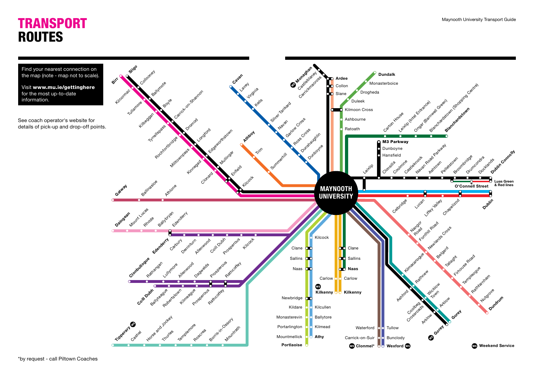## **TRANSPORT** ROUTES